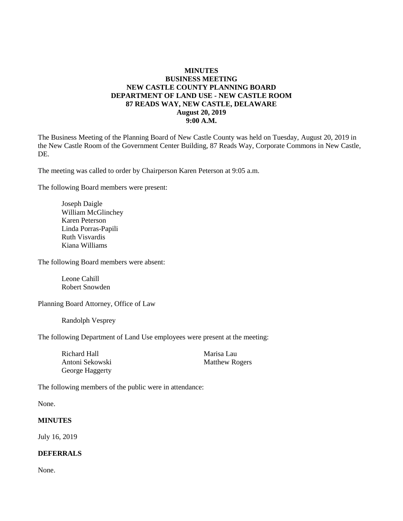## **MINUTES BUSINESS MEETING NEW CASTLE COUNTY PLANNING BOARD DEPARTMENT OF LAND USE - NEW CASTLE ROOM 87 READS WAY, NEW CASTLE, DELAWARE August 20, 2019 9:00 A.M.**

The Business Meeting of the Planning Board of New Castle County was held on Tuesday, August 20, 2019 in the New Castle Room of the Government Center Building, 87 Reads Way, Corporate Commons in New Castle, DE.

The meeting was called to order by Chairperson Karen Peterson at 9:05 a.m.

The following Board members were present:

Joseph Daigle William McGlinchey Karen Peterson Linda Porras-Papili Ruth Visvardis Kiana Williams

The following Board members were absent:

Leone Cahill Robert Snowden

Planning Board Attorney, Office of Law

Randolph Vesprey

The following Department of Land Use employees were present at the meeting:

Richard Hall Marisa Lau Antoni Sekowski Matthew Rogers George Haggerty

The following members of the public were in attendance:

None.

### **MINUTES**

July 16, 2019

#### **DEFERRALS**

None.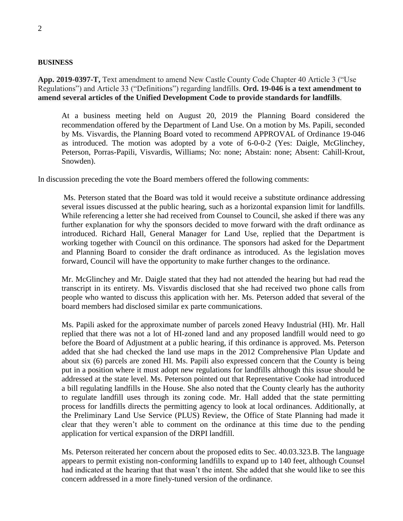#### **BUSINESS**

**App. 2019-0397-T,** Text amendment to amend New Castle County Code Chapter 40 Article 3 ("Use Regulations") and Article 33 ("Definitions") regarding landfills. **Ord. 19-046 is a text amendment to amend several articles of the Unified Development Code to provide standards for landfills**.

At a business meeting held on August 20, 2019 the Planning Board considered the recommendation offered by the Department of Land Use. On a motion by Ms. Papili, seconded by Ms. Visvardis, the Planning Board voted to recommend APPROVAL of Ordinance 19-046 as introduced. The motion was adopted by a vote of 6-0-0-2 (Yes: Daigle, McGlinchey, Peterson, Porras-Papili, Visvardis, Williams; No: none; Abstain: none; Absent: Cahill-Krout, Snowden).

In discussion preceding the vote the Board members offered the following comments:

Ms. Peterson stated that the Board was told it would receive a substitute ordinance addressing several issues discussed at the public hearing, such as a horizontal expansion limit for landfills. While referencing a letter she had received from Counsel to Council, she asked if there was any further explanation for why the sponsors decided to move forward with the draft ordinance as introduced. Richard Hall, General Manager for Land Use, replied that the Department is working together with Council on this ordinance. The sponsors had asked for the Department and Planning Board to consider the draft ordinance as introduced. As the legislation moves forward, Council will have the opportunity to make further changes to the ordinance.

Mr. McGlinchey and Mr. Daigle stated that they had not attended the hearing but had read the transcript in its entirety. Ms. Visvardis disclosed that she had received two phone calls from people who wanted to discuss this application with her. Ms. Peterson added that several of the board members had disclosed similar ex parte communications.

Ms. Papili asked for the approximate number of parcels zoned Heavy Industrial (HI). Mr. Hall replied that there was not a lot of HI-zoned land and any proposed landfill would need to go before the Board of Adjustment at a public hearing, if this ordinance is approved. Ms. Peterson added that she had checked the land use maps in the 2012 Comprehensive Plan Update and about six (6) parcels are zoned HI. Ms. Papili also expressed concern that the County is being put in a position where it must adopt new regulations for landfills although this issue should be addressed at the state level. Ms. Peterson pointed out that Representative Cooke had introduced a bill regulating landfills in the House. She also noted that the County clearly has the authority to regulate landfill uses through its zoning code. Mr. Hall added that the state permitting process for landfills directs the permitting agency to look at local ordinances. Additionally, at the Preliminary Land Use Service (PLUS) Review, the Office of State Planning had made it clear that they weren't able to comment on the ordinance at this time due to the pending application for vertical expansion of the DRPI landfill.

Ms. Peterson reiterated her concern about the proposed edits to Sec. 40.03.323.B. The language appears to permit existing non-conforming landfills to expand up to 140 feet, although Counsel had indicated at the hearing that that wasn't the intent. She added that she would like to see this concern addressed in a more finely-tuned version of the ordinance.